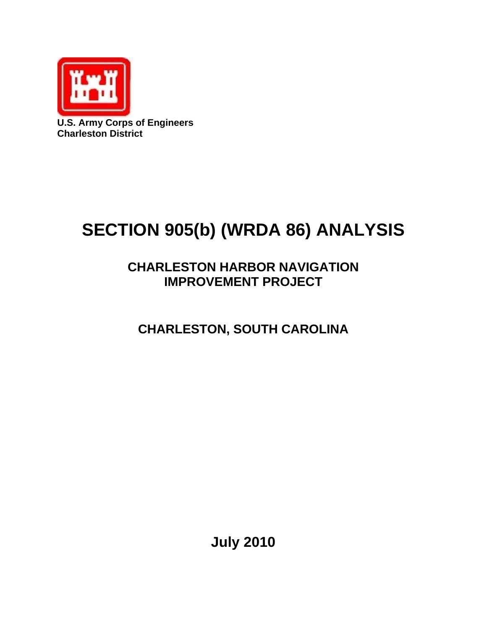

**U.S. Army Corps of Engineers Charleston District** 

# **SECTION 905(b) (WRDA 86) ANALYSIS**

## **CHARLESTON HARBOR NAVIGATION IMPROVEMENT PROJECT**

**CHARLESTON, SOUTH CAROLINA** 

**July 2010**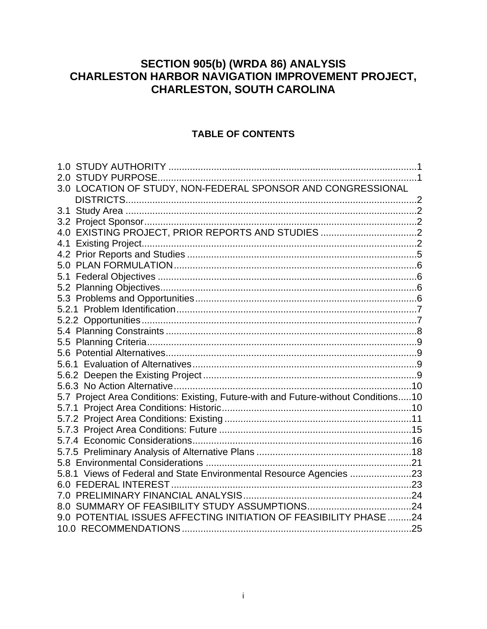## **SECTION 905(b) (WRDA 86) ANALYSIS** CHARLESTON HARBOR NAVIGATION IMPROVEMENT PROJECT, **CHARLESTON, SOUTH CAROLINA**

#### **TABLE OF CONTENTS**

| 3.0 LOCATION OF STUDY, NON-FEDERAL SPONSOR AND CONGRESSIONAL                       |  |
|------------------------------------------------------------------------------------|--|
|                                                                                    |  |
| 3.1                                                                                |  |
|                                                                                    |  |
| 4.0 EXISTING PROJECT, PRIOR REPORTS AND STUDIES 2                                  |  |
|                                                                                    |  |
|                                                                                    |  |
|                                                                                    |  |
|                                                                                    |  |
|                                                                                    |  |
|                                                                                    |  |
|                                                                                    |  |
|                                                                                    |  |
|                                                                                    |  |
|                                                                                    |  |
|                                                                                    |  |
|                                                                                    |  |
|                                                                                    |  |
|                                                                                    |  |
| 5.7 Project Area Conditions: Existing, Future-with and Future-without Conditions10 |  |
|                                                                                    |  |
|                                                                                    |  |
|                                                                                    |  |
|                                                                                    |  |
|                                                                                    |  |
|                                                                                    |  |
| 5.8.1 Views of Federal and State Environmental Resource Agencies                   |  |
|                                                                                    |  |
|                                                                                    |  |
|                                                                                    |  |
| 9.0 POTENTIAL ISSUES AFFECTING INITIATION OF FEASIBILITY PHASE 24                  |  |
|                                                                                    |  |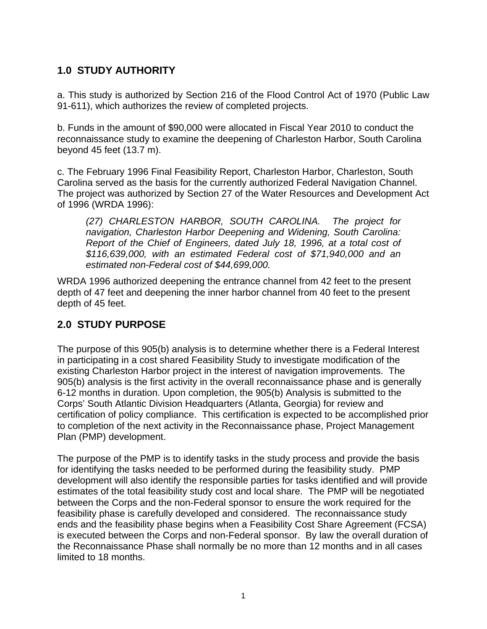#### <span id="page-2-0"></span>**1.0 STUDY AUTHORITY**

a. This study is authorized by Section 216 of the Flood Control Act of 1970 (Public Law 91-611), which authorizes the review of completed projects.

b. Funds in the amount of \$90,000 were allocated in Fiscal Year 2010 to conduct the reconnaissance study to examine the deepening of Charleston Harbor, South Carolina beyond 45 feet (13.7 m).

c. The February 1996 Final Feasibility Report, Charleston Harbor, Charleston, South Carolina served as the basis for the currently authorized Federal Navigation Channel. The project was authorized by Section 27 of the Water Resources and Development Act of 1996 (WRDA 1996):

*(27) CHARLESTON HARBOR, SOUTH CAROLINA. The project for navigation, Charleston Harbor Deepening and Widening, South Carolina: Report of the Chief of Engineers, dated July 18, 1996, at a total cost of \$116,639,000, with an estimated Federal cost of \$71,940,000 and an estimated non-Federal cost of \$44,699,000.* 

WRDA 1996 authorized deepening the entrance channel from 42 feet to the present depth of 47 feet and deepening the inner harbor channel from 40 feet to the present depth of 45 feet.

#### **2.0 STUDY PURPOSE**

The purpose of this 905(b) analysis is to determine whether there is a Federal Interest in participating in a cost shared Feasibility Study to investigate modification of the existing Charleston Harbor project in the interest of navigation improvements. The 905(b) analysis is the first activity in the overall reconnaissance phase and is generally 6-12 months in duration. Upon completion, the 905(b) Analysis is submitted to the Corps' South Atlantic Division Headquarters (Atlanta, Georgia) for review and certification of policy compliance. This certification is expected to be accomplished prior to completion of the next activity in the Reconnaissance phase, Project Management Plan (PMP) development.

The purpose of the PMP is to identify tasks in the study process and provide the basis for identifying the tasks needed to be performed during the feasibility study. PMP development will also identify the responsible parties for tasks identified and will provide estimates of the total feasibility study cost and local share. The PMP will be negotiated between the Corps and the non-Federal sponsor to ensure the work required for the feasibility phase is carefully developed and considered. The reconnaissance study ends and the feasibility phase begins when a Feasibility Cost Share Agreement (FCSA) is executed between the Corps and non-Federal sponsor. By law the overall duration of the Reconnaissance Phase shall normally be no more than 12 months and in all cases limited to 18 months.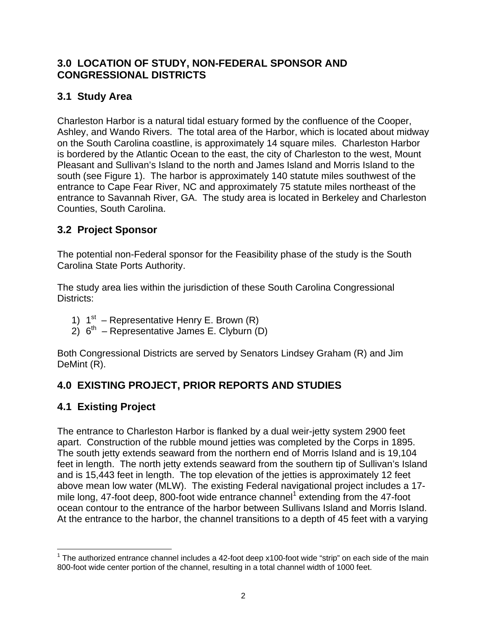#### <span id="page-3-0"></span>**3.0 LOCATION OF STUDY, NON-FEDERAL SPONSOR AND CONGRESSIONAL DISTRICTS**

## **3.1 Study Area**

Charleston Harbor is a natural tidal estuary formed by the confluence of the Cooper, Ashley, and Wando Rivers. The total area of the Harbor, which is located about midway on the South Carolina coastline, is approximately 14 square miles. Charleston Harbor is bordered by the Atlantic Ocean to the east, the city of Charleston to the west, Mount Pleasant and Sullivan's Island to the north and James Island and Morris Island to the south (see Figure 1). The harbor is approximately 140 statute miles southwest of the entrance to Cape Fear River, NC and approximately 75 statute miles northeast of the entrance to Savannah River, GA. The study area is located in Berkeley and Charleston Counties, South Carolina.

#### **3.2 Project Sponsor**

The potential non-Federal sponsor for the Feasibility phase of the study is the South Carolina State Ports Authority.

The study area lies within the jurisdiction of these South Carolina Congressional Districts:

- 1)  $1^{st}$  Representative Henry E. Brown (R)
- $2)$  6<sup>th</sup> Representative James E. Clyburn (D)

Both Congressional Districts are served by Senators Lindsey Graham (R) and Jim DeMint (R).

## **4.0 EXISTING PROJECT, PRIOR REPORTS AND STUDIES**

## **4.1 Existing Project**

The entrance to Charleston Harbor is flanked by a dual weir-jetty system 2900 feet apart. Construction of the rubble mound jetties was completed by the Corps in 1895. The south jetty extends seaward from the northern end of Morris Island and is 19,104 feet in length. The north jetty extends seaward from the southern tip of Sullivan's Island and is 15,443 feet in length. The top elevation of the jetties is approximately 12 feet above mean low water (MLW). The existing Federal navigational project includes a 17 mile long, 47-foot deep, 800-foot wide entrance channel<sup>1</sup> extending from the 47-foot ocean contour to the entrance of the harbor between Sullivans Island and Morris Island. At the entrance to the harbor, the channel transitions to a depth of 45 feet with a varying

 $\overline{a}$ <sup>1</sup> The authorized entrance channel includes a 42-foot deep x100-foot wide "strip" on each side of the main 800-foot wide center portion of the channel, resulting in a total channel width of 1000 feet.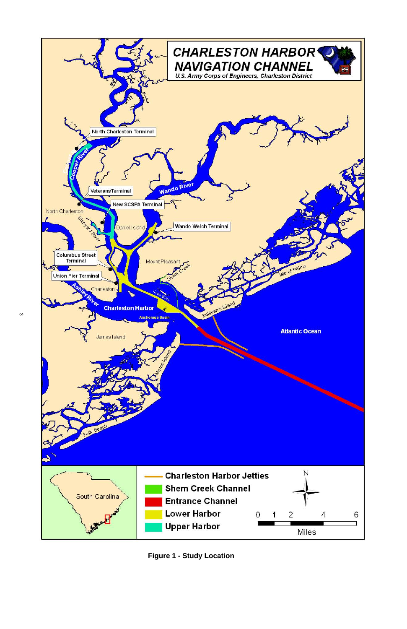

**Figure 1 - Study Location**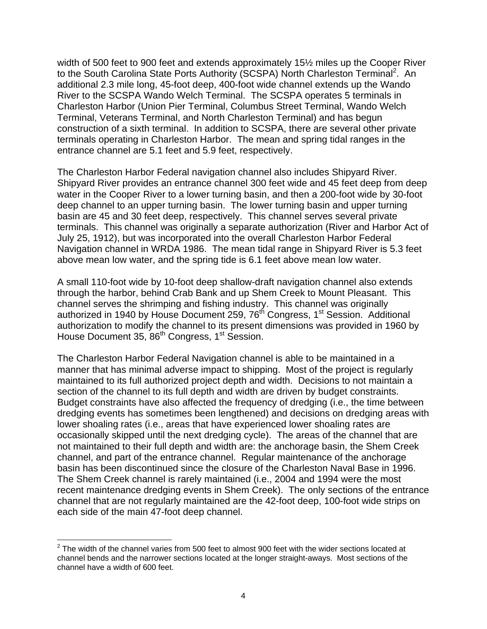width of 500 feet to 900 feet and extends approximately 15½ miles up the Cooper River to the South Carolina State Ports Authority (SCSPA) North Charleston Terminal<sup>2</sup>. An additional 2.3 mile long, 45-foot deep, 400-foot wide channel extends up the Wando River to the SCSPA Wando Welch Terminal. The SCSPA operates 5 terminals in Charleston Harbor (Union Pier Terminal, Columbus Street Terminal, Wando Welch Terminal, Veterans Terminal, and North Charleston Terminal) and has begun construction of a sixth terminal. In addition to SCSPA, there are several other private terminals operating in Charleston Harbor. The mean and spring tidal ranges in the entrance channel are 5.1 feet and 5.9 feet, respectively.

The Charleston Harbor Federal navigation channel also includes Shipyard River. Shipyard River provides an entrance channel 300 feet wide and 45 feet deep from deep water in the Cooper River to a lower turning basin, and then a 200-foot wide by 30-foot deep channel to an upper turning basin. The lower turning basin and upper turning basin are 45 and 30 feet deep, respectively. This channel serves several private terminals. This channel was originally a separate authorization (River and Harbor Act of July 25, 1912), but was incorporated into the overall Charleston Harbor Federal Navigation channel in WRDA 1986. The mean tidal range in Shipyard River is 5.3 feet above mean low water, and the spring tide is 6.1 feet above mean low water.

A small 110-foot wide by 10-foot deep shallow-draft navigation channel also extends through the harbor, behind Crab Bank and up Shem Creek to Mount Pleasant. This channel serves the shrimping and fishing industry. This channel was originally authorized in 1940 by House Document 259, 76<sup>th</sup> Congress, 1<sup>st</sup> Session. Additional authorization to modify the channel to its present dimensions was provided in 1960 by House Document 35, 86<sup>th</sup> Congress, 1<sup>st</sup> Session.

The Charleston Harbor Federal Navigation channel is able to be maintained in a manner that has minimal adverse impact to shipping. Most of the project is regularly maintained to its full authorized project depth and width. Decisions to not maintain a section of the channel to its full depth and width are driven by budget constraints. Budget constraints have also affected the frequency of dredging (i.e., the time between dredging events has sometimes been lengthened) and decisions on dredging areas with lower shoaling rates (i.e., areas that have experienced lower shoaling rates are occasionally skipped until the next dredging cycle). The areas of the channel that are not maintained to their full depth and width are: the anchorage basin, the Shem Creek channel, and part of the entrance channel. Regular maintenance of the anchorage basin has been discontinued since the closure of the Charleston Naval Base in 1996. The Shem Creek channel is rarely maintained (i.e., 2004 and 1994 were the most recent maintenance dredging events in Shem Creek). The only sections of the entrance channel that are not regularly maintained are the 42-foot deep, 100-foot wide strips on each side of the main 47-foot deep channel.

1

 $2$  The width of the channel varies from 500 feet to almost 900 feet with the wider sections located at channel bends and the narrower sections located at the longer straight-aways. Most sections of the channel have a width of 600 feet.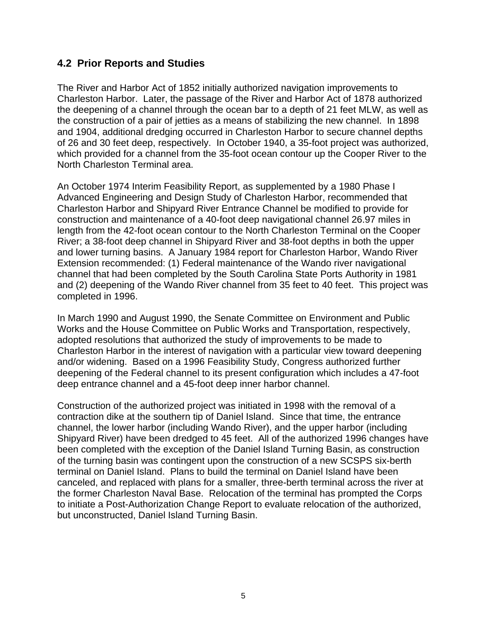#### <span id="page-6-0"></span>**4.2 Prior Reports and Studies**

The River and Harbor Act of 1852 initially authorized navigation improvements to Charleston Harbor. Later, the passage of the River and Harbor Act of 1878 authorized the deepening of a channel through the ocean bar to a depth of 21 feet MLW, as well as the construction of a pair of jetties as a means of stabilizing the new channel. In 1898 and 1904, additional dredging occurred in Charleston Harbor to secure channel depths of 26 and 30 feet deep, respectively. In October 1940, a 35-foot project was authorized, which provided for a channel from the 35-foot ocean contour up the Cooper River to the North Charleston Terminal area.

An October 1974 Interim Feasibility Report, as supplemented by a 1980 Phase I Advanced Engineering and Design Study of Charleston Harbor, recommended that Charleston Harbor and Shipyard River Entrance Channel be modified to provide for construction and maintenance of a 40-foot deep navigational channel 26.97 miles in length from the 42-foot ocean contour to the North Charleston Terminal on the Cooper River; a 38-foot deep channel in Shipyard River and 38-foot depths in both the upper and lower turning basins. A January 1984 report for Charleston Harbor, Wando River Extension recommended: (1) Federal maintenance of the Wando river navigational channel that had been completed by the South Carolina State Ports Authority in 1981 and (2) deepening of the Wando River channel from 35 feet to 40 feet. This project was completed in 1996.

In March 1990 and August 1990, the Senate Committee on Environment and Public Works and the House Committee on Public Works and Transportation, respectively, adopted resolutions that authorized the study of improvements to be made to Charleston Harbor in the interest of navigation with a particular view toward deepening and/or widening. Based on a 1996 Feasibility Study, Congress authorized further deepening of the Federal channel to its present configuration which includes a 47-foot deep entrance channel and a 45-foot deep inner harbor channel.

Construction of the authorized project was initiated in 1998 with the removal of a contraction dike at the southern tip of Daniel Island. Since that time, the entrance channel, the lower harbor (including Wando River), and the upper harbor (including Shipyard River) have been dredged to 45 feet. All of the authorized 1996 changes have been completed with the exception of the Daniel Island Turning Basin, as construction of the turning basin was contingent upon the construction of a new SCSPS six-berth terminal on Daniel Island. Plans to build the terminal on Daniel Island have been canceled, and replaced with plans for a smaller, three-berth terminal across the river at the former Charleston Naval Base. Relocation of the terminal has prompted the Corps to initiate a Post-Authorization Change Report to evaluate relocation of the authorized, but unconstructed, Daniel Island Turning Basin.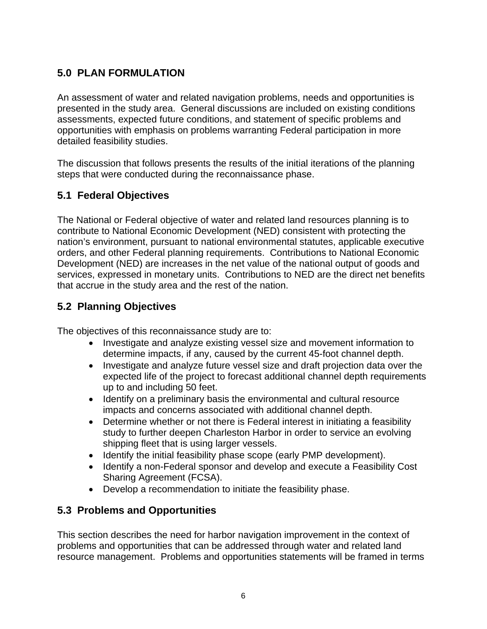## <span id="page-7-0"></span>**5.0 PLAN FORMULATION**

An assessment of water and related navigation problems, needs and opportunities is presented in the study area. General discussions are included on existing conditions assessments, expected future conditions, and statement of specific problems and opportunities with emphasis on problems warranting Federal participation in more detailed feasibility studies.

The discussion that follows presents the results of the initial iterations of the planning steps that were conducted during the reconnaissance phase.

#### **5.1 Federal Objectives**

The National or Federal objective of water and related land resources planning is to contribute to National Economic Development (NED) consistent with protecting the nation's environment, pursuant to national environmental statutes, applicable executive orders, and other Federal planning requirements. Contributions to National Economic Development (NED) are increases in the net value of the national output of goods and services, expressed in monetary units. Contributions to NED are the direct net benefits that accrue in the study area and the rest of the nation.

#### **5.2 Planning Objectives**

The objectives of this reconnaissance study are to:

- Investigate and analyze existing vessel size and movement information to determine impacts, if any, caused by the current 45-foot channel depth.
- Investigate and analyze future vessel size and draft projection data over the expected life of the project to forecast additional channel depth requirements up to and including 50 feet.
- Identify on a preliminary basis the environmental and cultural resource impacts and concerns associated with additional channel depth.
- $\bullet$ Determine whether or not there is Federal interest in initiating a feasibility study to further deepen Charleston Harbor in order to service an evolving shipping fleet that is using larger vessels.
- Identify the initial feasibility phase scope (early PMP development).
- Identify a non-Federal sponsor and develop and execute a Feasibility Cost Sharing Agreement (FCSA).
- Develop a recommendation to initiate the feasibility phase.

#### **5.3 Problems and Opportunities**

This section describes the need for harbor navigation improvement in the context of problems and opportunities that can be addressed through water and related land resource management. Problems and opportunities statements will be framed in terms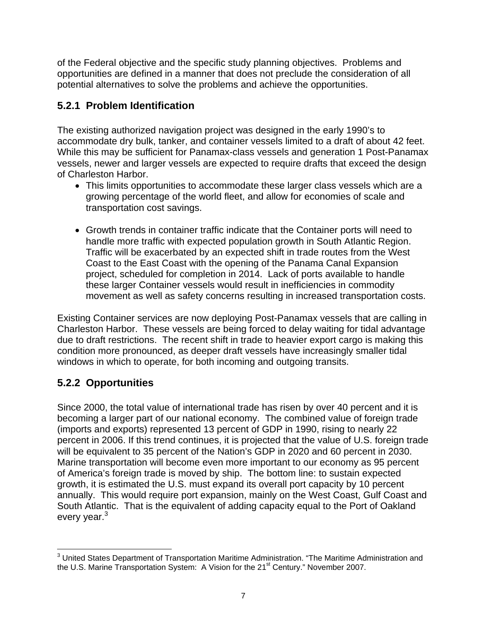<span id="page-8-0"></span>of the Federal objective and the specific study planning objectives. Problems and opportunities are defined in a manner that does not preclude the consideration of all potential alternatives to solve the problems and achieve the opportunities.

#### **5.2.1 Problem Identification**

The existing authorized navigation project was designed in the early 1990's to accommodate dry bulk, tanker, and container vessels limited to a draft of about 42 feet. While this may be sufficient for Panamax-class vessels and generation 1 Post-Panamax vessels, newer and larger vessels are expected to require drafts that exceed the design of Charleston Harbor.

- This limits opportunities to accommodate these larger class vessels which are a growing percentage of the world fleet, and allow for economies of scale and transportation cost savings.
- Growth trends in container traffic indicate that the Container ports will need to handle more traffic with expected population growth in South Atlantic Region. Traffic will be exacerbated by an expected shift in trade routes from the West Coast to the East Coast with the opening of the Panama Canal Expansion project, scheduled for completion in 2014. Lack of ports available to handle these larger Container vessels would result in inefficiencies in commodity movement as well as safety concerns resulting in increased transportation costs.

Existing Container services are now deploying Post-Panamax vessels that are calling in Charleston Harbor. These vessels are being forced to delay waiting for tidal advantage due to draft restrictions. The recent shift in trade to heavier export cargo is making this condition more pronounced, as deeper draft vessels have increasingly smaller tidal windows in which to operate, for both incoming and outgoing transits.

## **5.2.2 Opportunities**

Since 2000, the total value of international trade has risen by over 40 percent and it is becoming a larger part of our national economy. The combined value of foreign trade (imports and exports) represented 13 percent of GDP in 1990, rising to nearly 22 percent in 2006. If this trend continues, it is projected that the value of U.S. foreign trade will be equivalent to 35 percent of the Nation's GDP in 2020 and 60 percent in 2030. Marine transportation will become even more important to our economy as 95 percent of America's foreign trade is moved by ship. The bottom line: to sustain expected growth, it is estimated the U.S. must expand its overall port capacity by 10 percent annually. This would require port expansion, mainly on the West Coast, Gulf Coast and South Atlantic. That is the equivalent of adding capacity equal to the Port of Oakland every year. $3$ 

 3 United States Department of Transportation Maritime Administration. "The Maritime Administration and the U.S. Marine Transportation System: A Vision for the 21<sup>st</sup> Century." November 2007.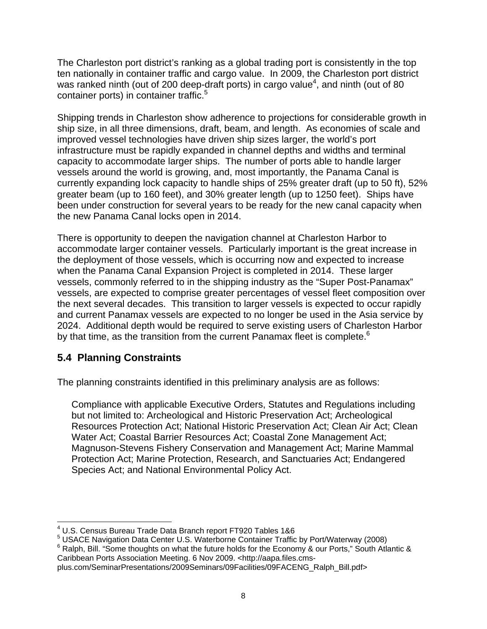<span id="page-9-0"></span>The Charleston port district's ranking as a global trading port is consistently in the top ten nationally in container traffic and cargo value. In 2009, the Charleston port district was ranked ninth (out of 200 deep-draft ports) in cargo value<sup>4</sup>, and ninth (out of 80 container ports) in container traffic.<sup>5</sup>

Shipping trends in Charleston show adherence to projections for considerable growth in ship size, in all three dimensions, draft, beam, and length. As economies of scale and improved vessel technologies have driven ship sizes larger, the world's port infrastructure must be rapidly expanded in channel depths and widths and terminal capacity to accommodate larger ships. The number of ports able to handle larger vessels around the world is growing, and, most importantly, the Panama Canal is currently expanding lock capacity to handle ships of 25% greater draft (up to 50 ft), 52% greater beam (up to 160 feet), and 30% greater length (up to 1250 feet). Ships have been under construction for several years to be ready for the new canal capacity when the new Panama Canal locks open in 2014.

There is opportunity to deepen the navigation channel at Charleston Harbor to accommodate larger container vessels. Particularly important is the great increase in the deployment of those vessels, which is occurring now and expected to increase when the Panama Canal Expansion Project is completed in 2014. These larger vessels, commonly referred to in the shipping industry as the "Super Post-Panamax" vessels, are expected to comprise greater percentages of vessel fleet composition over the next several decades. This transition to larger vessels is expected to occur rapidly and current Panamax vessels are expected to no longer be used in the Asia service by 2024. Additional depth would be required to serve existing users of Charleston Harbor by that time, as the transition from the current Panamax fleet is complete. $6$ 

#### **5.4 Planning Constraints**

The planning constraints identified in this preliminary analysis are as follows:

Compliance with applicable Executive Orders, Statutes and Regulations including but not limited to: Archeological and Historic Preservation Act; Archeological Resources Protection Act; National Historic Preservation Act; Clean Air Act; Clean Water Act; Coastal Barrier Resources Act; Coastal Zone Management Act; Magnuson-Stevens Fishery Conservation and Management Act; Marine Mammal Protection Act; Marine Protection, Research, and Sanctuaries Act; Endangered Species Act; and National Environmental Policy Act.

 $6$  Ralph, Bill. "Some thoughts on what the future holds for the Economy & our Ports," South Atlantic & Caribbean Ports Association Meeting. 6 Nov 2009. <http://aapa.files.cms-

 $\overline{a}$ <sup>4</sup> U.S. Census Bureau Trade Data Branch report FT920 Tables 1&6<br><sup>5</sup> USACE Navigation Data Center U.S. Waterberne Centeiner Traffic

<sup>&</sup>lt;sup>5</sup> USACE Navigation Data Center U.S. Waterborne Container Traffic by Port/Waterway (2008)<br><sup>6</sup> Balph, Bill. "Same thoughts an what the future holds for the Economy 8, our Perte." South Atla

plus.com/SeminarPresentations/2009Seminars/09Facilities/09FACENG\_Ralph\_Bill.pdf>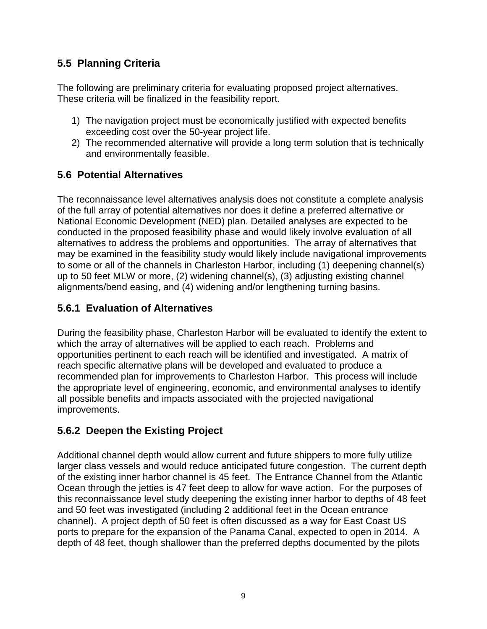#### <span id="page-10-0"></span>**5.5 Planning Criteria**

The following are preliminary criteria for evaluating proposed project alternatives. These criteria will be finalized in the feasibility report.

- 1) The navigation project must be economically justified with expected benefits exceeding cost over the 50-year project life.
- 2) The recommended alternative will provide a long term solution that is technically and environmentally feasible.

#### **5.6 Potential Alternatives**

The reconnaissance level alternatives analysis does not constitute a complete analysis of the full array of potential alternatives nor does it define a preferred alternative or National Economic Development (NED) plan. Detailed analyses are expected to be conducted in the proposed feasibility phase and would likely involve evaluation of all alternatives to address the problems and opportunities. The array of alternatives that may be examined in the feasibility study would likely include navigational improvements to some or all of the channels in Charleston Harbor, including (1) deepening channel(s) up to 50 feet MLW or more, (2) widening channel(s), (3) adjusting existing channel alignments/bend easing, and (4) widening and/or lengthening turning basins.

#### **5.6.1 Evaluation of Alternatives**

During the feasibility phase, Charleston Harbor will be evaluated to identify the extent to which the array of alternatives will be applied to each reach. Problems and opportunities pertinent to each reach will be identified and investigated. A matrix of reach specific alternative plans will be developed and evaluated to produce a recommended plan for improvements to Charleston Harbor. This process will include the appropriate level of engineering, economic, and environmental analyses to identify all possible benefits and impacts associated with the projected navigational improvements.

## **5.6.2 Deepen the Existing Project**

Additional channel depth would allow current and future shippers to more fully utilize larger class vessels and would reduce anticipated future congestion. The current depth of the existing inner harbor channel is 45 feet. The Entrance Channel from the Atlantic Ocean through the jetties is 47 feet deep to allow for wave action. For the purposes of this reconnaissance level study deepening the existing inner harbor to depths of 48 feet and 50 feet was investigated (including 2 additional feet in the Ocean entrance channel). A project depth of 50 feet is often discussed as a way for East Coast US ports to prepare for the expansion of the Panama Canal, expected to open in 2014. A depth of 48 feet, though shallower than the preferred depths documented by the pilots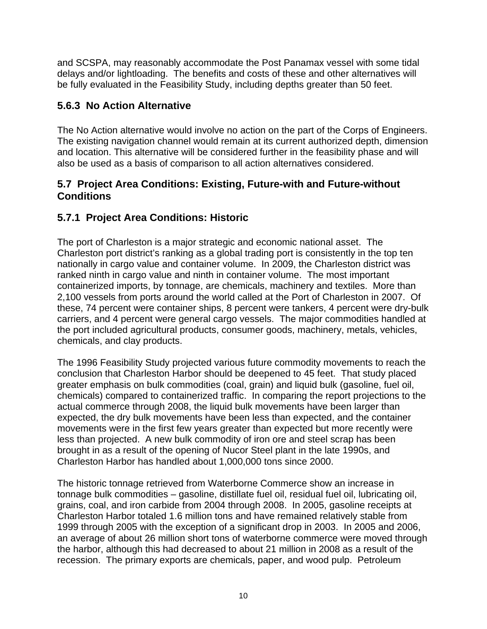<span id="page-11-0"></span>and SCSPA, may reasonably accommodate the Post Panamax vessel with some tidal delays and/or lightloading. The benefits and costs of these and other alternatives will be fully evaluated in the Feasibility Study, including depths greater than 50 feet.

#### **5.6.3 No Action Alternative**

The No Action alternative would involve no action on the part of the Corps of Engineers. The existing navigation channel would remain at its current authorized depth, dimension and location. This alternative will be considered further in the feasibility phase and will also be used as a basis of comparison to all action alternatives considered.

#### **5.7 Project Area Conditions: Existing, Future-with and Future-without Conditions**

#### **5.7.1 Project Area Conditions: Historic**

The port of Charleston is a major strategic and economic national asset. The Charleston port district's ranking as a global trading port is consistently in the top ten nationally in cargo value and container volume. In 2009, the Charleston district was ranked ninth in cargo value and ninth in container volume. The most important containerized imports, by tonnage, are chemicals, machinery and textiles. More than 2,100 vessels from ports around the world called at the Port of Charleston in 2007. Of these, 74 percent were container ships, 8 percent were tankers, 4 percent were dry-bulk carriers, and 4 percent were general cargo vessels. The major commodities handled at the port included agricultural products, consumer goods, machinery, metals, vehicles, chemicals, and clay products.

The 1996 Feasibility Study projected various future commodity movements to reach the conclusion that Charleston Harbor should be deepened to 45 feet. That study placed greater emphasis on bulk commodities (coal, grain) and liquid bulk (gasoline, fuel oil, chemicals) compared to containerized traffic. In comparing the report projections to the actual commerce through 2008, the liquid bulk movements have been larger than expected, the dry bulk movements have been less than expected, and the container movements were in the first few years greater than expected but more recently were less than projected. A new bulk commodity of iron ore and steel scrap has been brought in as a result of the opening of Nucor Steel plant in the late 1990s, and Charleston Harbor has handled about 1,000,000 tons since 2000.

The historic tonnage retrieved from Waterborne Commerce show an increase in tonnage bulk commodities – gasoline, distillate fuel oil, residual fuel oil, lubricating oil, grains, coal, and iron carbide from 2004 through 2008. In 2005, gasoline receipts at Charleston Harbor totaled 1.6 million tons and have remained relatively stable from 1999 through 2005 with the exception of a significant drop in 2003. In 2005 and 2006, an average of about 26 million short tons of waterborne commerce were moved through the harbor, although this had decreased to about 21 million in 2008 as a result of the recession. The primary exports are chemicals, paper, and wood pulp. Petroleum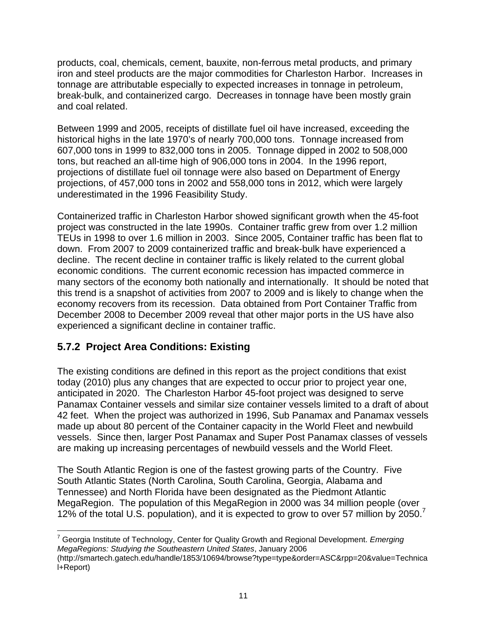<span id="page-12-0"></span>products, coal, chemicals, cement, bauxite, non-ferrous metal products, and primary iron and steel products are the major commodities for Charleston Harbor. Increases in tonnage are attributable especially to expected increases in tonnage in petroleum, break-bulk, and containerized cargo. Decreases in tonnage have been mostly grain and coal related.

Between 1999 and 2005, receipts of distillate fuel oil have increased, exceeding the historical highs in the late 1970's of nearly 700,000 tons. Tonnage increased from 607,000 tons in 1999 to 832,000 tons in 2005. Tonnage dipped in 2002 to 508,000 tons, but reached an all-time high of 906,000 tons in 2004. In the 1996 report, projections of distillate fuel oil tonnage were also based on Department of Energy projections, of 457,000 tons in 2002 and 558,000 tons in 2012, which were largely underestimated in the 1996 Feasibility Study.

Containerized traffic in Charleston Harbor showed significant growth when the 45-foot project was constructed in the late 1990s. Container traffic grew from over 1.2 million TEUs in 1998 to over 1.6 million in 2003. Since 2005, Container traffic has been flat to down. From 2007 to 2009 containerized traffic and break-bulk have experienced a decline. The recent decline in container traffic is likely related to the current global economic conditions. The current economic recession has impacted commerce in many sectors of the economy both nationally and internationally. It should be noted that this trend is a snapshot of activities from 2007 to 2009 and is likely to change when the economy recovers from its recession. Data obtained from Port Container Traffic from December 2008 to December 2009 reveal that other major ports in the US have also experienced a significant decline in container traffic.

#### **5.7.2 Project Area Conditions: Existing**

 $\overline{a}$ 

The existing conditions are defined in this report as the project conditions that exist today (2010) plus any changes that are expected to occur prior to project year one, anticipated in 2020. The Charleston Harbor 45-foot project was designed to serve Panamax Container vessels and similar size container vessels limited to a draft of about 42 feet. When the project was authorized in 1996, Sub Panamax and Panamax vessels made up about 80 percent of the Container capacity in the World Fleet and newbuild vessels. Since then, larger Post Panamax and Super Post Panamax classes of vessels are making up increasing percentages of newbuild vessels and the World Fleet.

12% of the total U.S. population), and it is expected to grow to over 57 million by 2050.<sup>7</sup> The South Atlantic Region is one of the fastest growing parts of the Country. Five South Atlantic States (North Carolina, South Carolina, Georgia, Alabama and Tennessee) and North Florida have been designated as the Piedmont Atlantic MegaRegion. The population of this MegaRegion in 2000 was 34 million people (over

<sup>7</sup> Georgia Institute of Technology, Center for Quality Growth and Regional Development. *Emerging MegaRegions: Studying the Southeastern United States*, January 2006 (http://smartech.gatech.edu/handle/1853/10694/browse?type=type&order=ASC&rpp=20&value=Technica l+Report)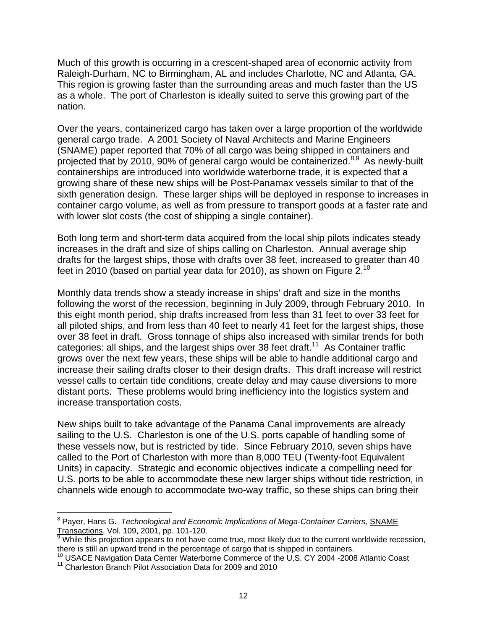Much of this growth is occurring in a crescent-shaped area of economic activity from Raleigh-Durham, NC to Birmingham, AL and includes Charlotte, NC and Atlanta, GA. This region is growing faster than the surrounding areas and much faster than the US as a whole. The port of Charleston is ideally suited to serve this growing part of the nation.

projected that by 2010, 90% of general cargo would be containerized.<sup>8,9</sup> As newly-built Over the years, containerized cargo has taken over a large proportion of the worldwide general cargo trade. A 2001 Society of Naval Architects and Marine Engineers (SNAME) paper reported that 70% of all cargo was being shipped in containers and containerships are introduced into worldwide waterborne trade, it is expected that a growing share of these new ships will be Post-Panamax vessels similar to that of the sixth generation design. These larger ships will be deployed in response to increases in container cargo volume, as well as from pressure to transport goods at a faster rate and with lower slot costs (the cost of shipping a single container).

Both long term and short-term data acquired from the local ship pilots indicates steady increases in the draft and size of ships calling on Charleston. Annual average ship drafts for the largest ships, those with drafts over 38 feet, increased to greater than 40 feet in 2010 (based on partial year data for 2010), as shown on Figure  $2^{10}$ 

Monthly data trends show a steady increase in ships' draft and size in the months following the worst of the recession, beginning in July 2009, through February 2010. In this eight month period, ship drafts increased from less than 31 feet to over 33 feet for all piloted ships, and from less than 40 feet to nearly 41 feet for the largest ships, those over 38 feet in draft. Gross tonnage of ships also increased with similar trends for both categories: all ships, and the largest ships over 38 feet draft.<sup>11</sup> As Container traffic grows over the next few years, these ships will be able to handle additional cargo and increase their sailing drafts closer to their design drafts. This draft increase will restrict vessel calls to certain tide conditions, create delay and may cause diversions to more distant ports. These problems would bring inefficiency into the logistics system and increase transportation costs.

New ships built to take advantage of the Panama Canal improvements are already sailing to the U.S. Charleston is one of the U.S. ports capable of handling some of these vessels now, but is restricted by tide. Since February 2010, seven ships have called to the Port of Charleston with more than 8,000 TEU (Twenty-foot Equivalent Units) in capacity. Strategic and economic objectives indicate a compelling need for U.S. ports to be able to accommodate these new larger ships without tide restriction, in channels wide enough to accommodate two-way traffic, so these ships can bring their

 $\overline{a}$ <sup>8</sup> Payer, Hans G. *Technological and Economic Implications of Mega-Container Carriers, SNAME* Transactions, Vol. 109, 2001, pp. 101-120. 9

While this projection appears to not have come true, most likely due to the current worldwide recession, there is still an upward trend in the percentage of cargo that is shipped in containers.

there is still an upward trend in the percentage of cargo that is shipped in containers.<br><sup>10</sup> USACE Navigation Data Center Waterborne Commerce of the U.S. CY 2004 -2008 Atlantic Coast<br><sup>11</sup> Charleston Branch Pilot Associati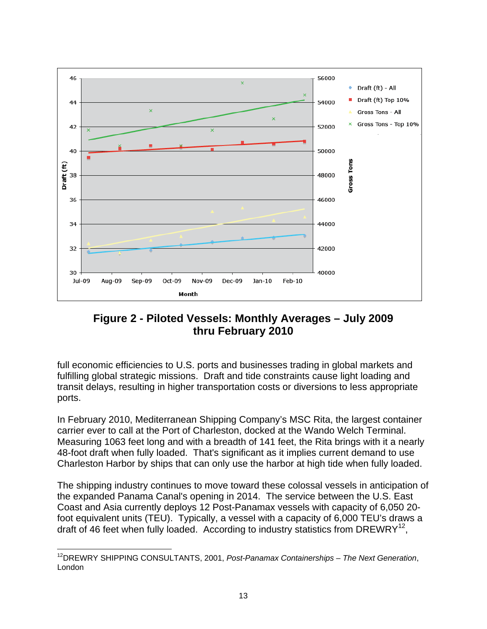

**Figure 2 - Piloted Vessels: Monthly Averages – July 2009 thru February 2010** 

full economic efficiencies to U.S. ports and businesses trading in global markets and fulfilling global strategic missions. Draft and tide constraints cause light loading and transit delays, resulting in higher transportation costs or diversions to less appropriate ports.

In February 2010, Mediterranean Shipping Company's MSC Rita, the largest container carrier ever to call at the Port of Charleston, docked at the Wando Welch Terminal. Measuring 1063 feet long and with a breadth of 141 feet, the Rita brings with it a nearly 48-foot draft when fully loaded. That's significant as it implies current demand to use Charleston Harbor by ships that can only use the harbor at high tide when fully loaded.

The shipping industry continues to move toward these colossal vessels in anticipation of the expanded Panama Canal's opening in 2014. The service between the U.S. East Coast and Asia currently deploys 12 Post-Panamax vessels with capacity of 6,050 20 foot equivalent units (TEU). Typically, a vessel with a capacity of 6,000 TEU's draws a draft of 46 feet when fully loaded. According to industry statistics from  $DREWRY^{12}$ ,

 $\overline{a}$ 12DREWRY SHIPPING CONSULTANTS, 2001, *Post-Panamax Containerships – The Next Generation*, London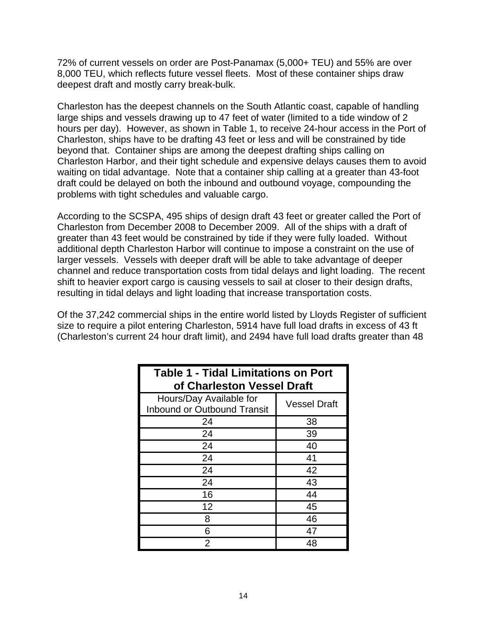72% of current vessels on order are Post-Panamax (5,000+ TEU) and 55% are over 8,000 TEU, which reflects future vessel fleets. Most of these container ships draw deepest draft and mostly carry break-bulk.

Charleston has the deepest channels on the South Atlantic coast, capable of handling large ships and vessels drawing up to 47 feet of water (limited to a tide window of 2 hours per day). However, as shown in Table 1, to receive 24-hour access in the Port of Charleston, ships have to be drafting 43 feet or less and will be constrained by tide beyond that. Container ships are among the deepest drafting ships calling on Charleston Harbor, and their tight schedule and expensive delays causes them to avoid waiting on tidal advantage. Note that a container ship calling at a greater than 43-foot draft could be delayed on both the inbound and outbound voyage, compounding the problems with tight schedules and valuable cargo.

According to the SCSPA, 495 ships of design draft 43 feet or greater called the Port of Charleston from December 2008 to December 2009. All of the ships with a draft of greater than 43 feet would be constrained by tide if they were fully loaded. Without additional depth Charleston Harbor will continue to impose a constraint on the use of larger vessels. Vessels with deeper draft will be able to take advantage of deeper channel and reduce transportation costs from tidal delays and light loading. The recent shift to heavier export cargo is causing vessels to sail at closer to their design drafts, resulting in tidal delays and light loading that increase transportation costs.

Of the 37,242 commercial ships in the entire world listed by Lloyds Register of sufficient size to require a pilot entering Charleston, 5914 have full load drafts in excess of 43 ft (Charleston's current 24 hour draft limit), and 2494 have full load drafts greater than 48

| <b>Table 1 - Tidal Limitations on Port</b><br>of Charleston Vessel Draft             |    |  |  |  |  |
|--------------------------------------------------------------------------------------|----|--|--|--|--|
| Hours/Day Available for<br><b>Vessel Draft</b><br><b>Inbound or Outbound Transit</b> |    |  |  |  |  |
| 24                                                                                   | 38 |  |  |  |  |
| 24                                                                                   | 39 |  |  |  |  |
| 24                                                                                   | 40 |  |  |  |  |
| 24                                                                                   | 41 |  |  |  |  |
| 24                                                                                   | 42 |  |  |  |  |
| 24                                                                                   | 43 |  |  |  |  |
| 16                                                                                   | 44 |  |  |  |  |
| 12                                                                                   | 45 |  |  |  |  |
| 8                                                                                    | 46 |  |  |  |  |
| 6                                                                                    | 47 |  |  |  |  |
| 2                                                                                    | 48 |  |  |  |  |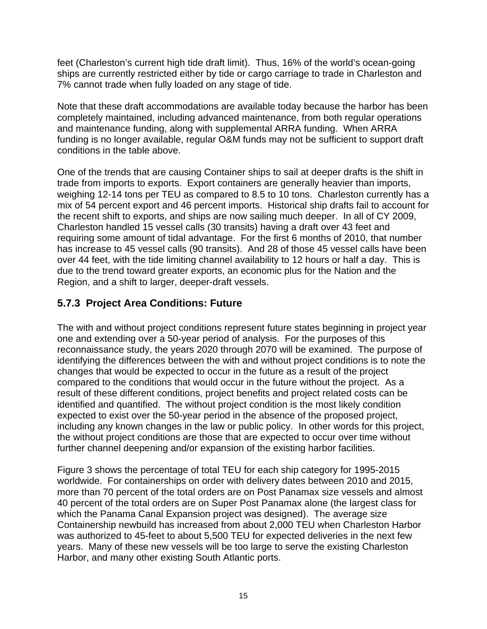<span id="page-16-0"></span>feet (Charleston's current high tide draft limit). Thus, 16% of the world's ocean-going ships are currently restricted either by tide or cargo carriage to trade in Charleston and 7% cannot trade when fully loaded on any stage of tide.

Note that these draft accommodations are available today because the harbor has been completely maintained, including advanced maintenance, from both regular operations and maintenance funding, along with supplemental ARRA funding. When ARRA funding is no longer available, regular O&M funds may not be sufficient to support draft conditions in the table above.

One of the trends that are causing Container ships to sail at deeper drafts is the shift in trade from imports to exports. Export containers are generally heavier than imports, weighing 12-14 tons per TEU as compared to 8.5 to 10 tons. Charleston currently has a mix of 54 percent export and 46 percent imports. Historical ship drafts fail to account for the recent shift to exports, and ships are now sailing much deeper. In all of CY 2009, Charleston handled 15 vessel calls (30 transits) having a draft over 43 feet and requiring some amount of tidal advantage. For the first 6 months of 2010, that number has increase to 45 vessel calls (90 transits). And 28 of those 45 vessel calls have been over 44 feet, with the tide limiting channel availability to 12 hours or half a day. This is due to the trend toward greater exports, an economic plus for the Nation and the Region, and a shift to larger, deeper-draft vessels.

#### **5.7.3 Project Area Conditions: Future**

The with and without project conditions represent future states beginning in project year one and extending over a 50-year period of analysis. For the purposes of this reconnaissance study, the years 2020 through 2070 will be examined. The purpose of identifying the differences between the with and without project conditions is to note the changes that would be expected to occur in the future as a result of the project compared to the conditions that would occur in the future without the project. As a result of these different conditions, project benefits and project related costs can be identified and quantified. The without project condition is the most likely condition expected to exist over the 50-year period in the absence of the proposed project, including any known changes in the law or public policy. In other words for this project, the without project conditions are those that are expected to occur over time without further channel deepening and/or expansion of the existing harbor facilities.

Figure 3 shows the percentage of total TEU for each ship category for 1995-2015 worldwide. For containerships on order with delivery dates between 2010 and 2015, more than 70 percent of the total orders are on Post Panamax size vessels and almost 40 percent of the total orders are on Super Post Panamax alone (the largest class for which the Panama Canal Expansion project was designed). The average size Containership newbuild has increased from about 2,000 TEU when Charleston Harbor was authorized to 45-feet to about 5,500 TEU for expected deliveries in the next few years. Many of these new vessels will be too large to serve the existing Charleston Harbor, and many other existing South Atlantic ports.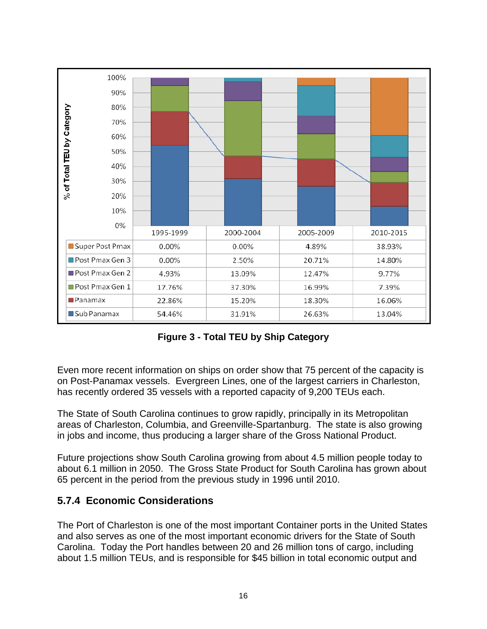<span id="page-17-0"></span>

**Figure 3 - Total TEU by Ship Category** 

Even more recent information on ships on order show that 75 percent of the capacity is on Post-Panamax vessels. Evergreen Lines, one of the largest carriers in Charleston, has recently ordered 35 vessels with a reported capacity of 9,200 TEUs each.

The State of South Carolina continues to grow rapidly, principally in its Metropolitan areas of Charleston, Columbia, and Greenville-Spartanburg. The state is also growing in jobs and income, thus producing a larger share of the Gross National Product.

Future projections show South Carolina growing from about 4.5 million people today to about 6.1 million in 2050. The Gross State Product for South Carolina has grown about 65 percent in the period from the previous study in 1996 until 2010.

#### **5.7.4 Economic Considerations**

The Port of Charleston is one of the most important Container ports in the United States and also serves as one of the most important economic drivers for the State of South Carolina. Today the Port handles between 20 and 26 million tons of cargo, including about 1.5 million TEUs, and is responsible for \$45 billion in total economic output and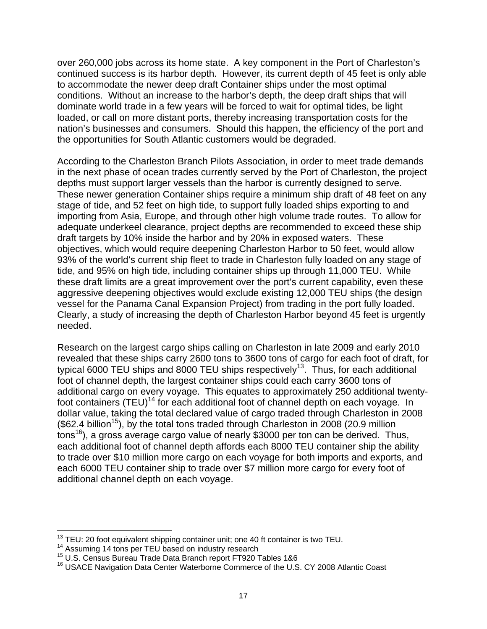over 260,000 jobs across its home state. A key component in the Port of Charleston's continued success is its harbor depth. However, its current depth of 45 feet is only able to accommodate the newer deep draft Container ships under the most optimal conditions. Without an increase to the harbor's depth, the deep draft ships that will dominate world trade in a few years will be forced to wait for optimal tides, be light loaded, or call on more distant ports, thereby increasing transportation costs for the nation's businesses and consumers. Should this happen, the efficiency of the port and the opportunities for South Atlantic customers would be degraded.

According to the Charleston Branch Pilots Association, in order to meet trade demands in the next phase of ocean trades currently served by the Port of Charleston, the project depths must support larger vessels than the harbor is currently designed to serve. These newer generation Container ships require a minimum ship draft of 48 feet on any stage of tide, and 52 feet on high tide, to support fully loaded ships exporting to and importing from Asia, Europe, and through other high volume trade routes. To allow for adequate underkeel clearance, project depths are recommended to exceed these ship draft targets by 10% inside the harbor and by 20% in exposed waters. These objectives, which would require deepening Charleston Harbor to 50 feet, would allow 93% of the world's current ship fleet to trade in Charleston fully loaded on any stage of tide, and 95% on high tide, including container ships up through 11,000 TEU. While these draft limits are a great improvement over the port's current capability, even these aggressive deepening objectives would exclude existing 12,000 TEU ships (the design vessel for the Panama Canal Expansion Project) from trading in the port fully loaded. Clearly, a study of increasing the depth of Charleston Harbor beyond 45 feet is urgently needed.

Research on the largest cargo ships calling on Charleston in late 2009 and early 2010 revealed that these ships carry 2600 tons to 3600 tons of cargo for each foot of draft, for typical 6000 TEU ships and 8000 TEU ships respectively<sup>13</sup>. Thus, for each additional foot of channel depth, the largest container ships could each carry 3600 tons of additional cargo on every voyage. This equates to approximately 250 additional twentyfoot containers (TEU)<sup>14</sup> for each additional foot of channel depth on each voyage. In dollar value, taking the total declared value of cargo traded through Charleston in 2008  $($62.4\text{ billion}^{15})$ , by the total tons traded through Charleston in 2008 (20.9 million tons<sup>16</sup>), a gross average cargo value of nearly \$3000 per ton can be derived. Thus, each additional foot of channel depth affords each 8000 TEU container ship the ability to trade over \$10 million more cargo on each voyage for both imports and exports, and each 6000 TEU container ship to trade over \$7 million more cargo for every foot of additional channel depth on each voyage.

<sup>&</sup>lt;sup>13</sup> TEU: 20 foot equivalent shipping container unit; one 40 ft container is two TEU.

<sup>&</sup>lt;sup>14</sup> Assuming 14 tons per TEU based on industry research<br><sup>15</sup> U.S. Census Bureau Trade Data Branch report FT920 Tables 1&6<br><sup>16</sup> USACE Navigation Data Center Waterborne Commerce of the U.S. CY 2008 Atlantic Coast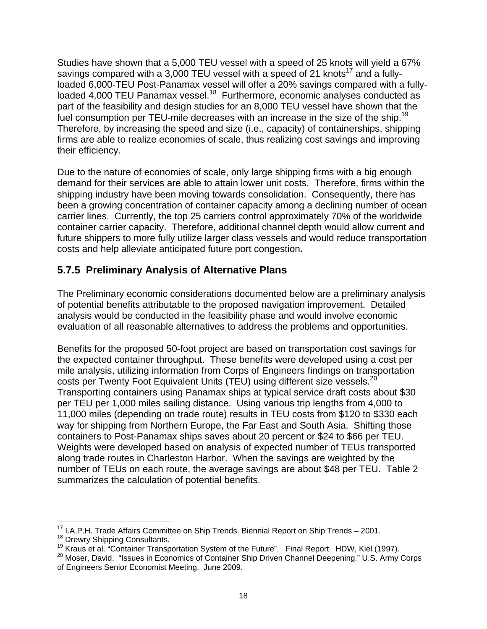<span id="page-19-0"></span>fuel consumption per TEU-mile decreases with an increase in the size of the ship.<sup>19</sup> Studies have shown that a 5,000 TEU vessel with a speed of 25 knots will yield a 67% savings compared with a 3,000 TEU vessel with a speed of 21 knots<sup>17</sup> and a fullyloaded 6,000-TEU Post-Panamax vessel will offer a 20% savings compared with a fullyloaded 4,000 TEU Panamax vessel.<sup>18</sup> Furthermore, economic analyses conducted as part of the feasibility and design studies for an 8,000 TEU vessel have shown that the Therefore, by increasing the speed and size (i.e., capacity) of containerships, shipping firms are able to realize economies of scale, thus realizing cost savings and improving their efficiency.

Due to the nature of economies of scale, only large shipping firms with a big enough demand for their services are able to attain lower unit costs. Therefore, firms within the shipping industry have been moving towards consolidation. Consequently, there has been a growing concentration of container capacity among a declining number of ocean carrier lines. Currently, the top 25 carriers control approximately 70% of the worldwide container carrier capacity. Therefore, additional channel depth would allow current and future shippers to more fully utilize larger class vessels and would reduce transportation costs and help alleviate anticipated future port congestion**.** 

#### **5.7.5 Preliminary Analysis of Alternative Plans**

The Preliminary economic considerations documented below are a preliminary analysis of potential benefits attributable to the proposed navigation improvement. Detailed analysis would be conducted in the feasibility phase and would involve economic evaluation of all reasonable alternatives to address the problems and opportunities.

costs per Twenty Foot Equivalent Units (TEU) using different size vessels.<sup>20</sup> Benefits for the proposed 50-foot project are based on transportation cost savings for the expected container throughput. These benefits were developed using a cost per mile analysis, utilizing information from Corps of Engineers findings on transportation Transporting containers using Panamax ships at typical service draft costs about \$30 per TEU per 1,000 miles sailing distance. Using various trip lengths from 4,000 to 11,000 miles (depending on trade route) results in TEU costs from \$120 to \$330 each way for shipping from Northern Europe, the Far East and South Asia. Shifting those containers to Post-Panamax ships saves about 20 percent or \$24 to \$66 per TEU. Weights were developed based on analysis of expected number of TEUs transported along trade routes in Charleston Harbor. When the savings are weighted by the number of TEUs on each route, the average savings are about \$48 per TEU. Table 2 summarizes the calculation of potential benefits.

 $\overline{a}$ 

<sup>&</sup>lt;sup>17</sup> I.A.P.H. Trade Affairs Committee on Ship Trends. Biennial Report on Ship Trends – 2001.<br><sup>18</sup> Drewry Shipping Consultants.<br><sup>19</sup> Kraus et al. "Container Transportation System of the Future". Final Report. HDW, Kiel (199 <sup>19</sup> Kraus et al. "Container Transportation System of the Future". Final Report. HDW, Kiel (1997).<br><sup>20</sup> Moser, David. "Issues in Economics of Container Ship Driven Channel Deepening." U.S. Army Corps

of Engineers Senior Economist Meeting. June 2009.<br>18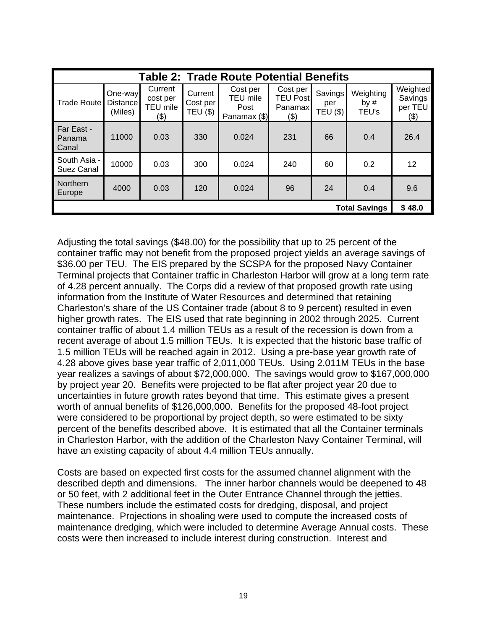| <b>Table 2: Trade Route Potential Benefits</b> |                                       |                                         |                                 |                                                     |                                                  |                                   |                              |                                           |
|------------------------------------------------|---------------------------------------|-----------------------------------------|---------------------------------|-----------------------------------------------------|--------------------------------------------------|-----------------------------------|------------------------------|-------------------------------------------|
| <b>Trade Route</b>                             | One-way<br><b>Distance</b><br>(Miles) | Current<br>cost per<br>TEU mile<br>(\$) | Current<br>Cost per<br>TEU (\$) | Cost per<br><b>TEU</b> mile<br>Post<br>Panamax (\$) | Cost per<br><b>TEU Post</b><br>Panamax<br>$(\$)$ | Savings<br>per<br><b>TEU (\$)</b> | Weighting<br>by $#$<br>TEU's | Weighted<br>Savings<br>per TEU<br>$($ \$) |
| Far East -<br>Panama<br><b>Canal</b>           | 11000                                 | 0.03                                    | 330                             | 0.024                                               | 231                                              | 66                                | 0.4                          | 26.4                                      |
| South Asia -<br>Suez Canal                     | 10000                                 | 0.03                                    | 300                             | 0.024                                               | 240                                              | 60                                | 0.2                          | 12                                        |
| Northern<br>Europe                             | 4000                                  | 0.03                                    | 120                             | 0.024                                               | 96                                               | 24                                | 0.4                          | 9.6                                       |
| <b>Total Savings</b>                           |                                       |                                         |                                 |                                                     |                                                  |                                   |                              | \$48.0                                    |

Adjusting the total savings (\$48.00) for the possibility that up to 25 percent of the container traffic may not benefit from the proposed project yields an average savings of \$36.00 per TEU. The EIS prepared by the SCSPA for the proposed Navy Container Terminal projects that Container traffic in Charleston Harbor will grow at a long term rate of 4.28 percent annually. The Corps did a review of that proposed growth rate using information from the Institute of Water Resources and determined that retaining Charleston's share of the US Container trade (about 8 to 9 percent) resulted in even higher growth rates. The EIS used that rate beginning in 2002 through 2025. Current container traffic of about 1.4 million TEUs as a result of the recession is down from a recent average of about 1.5 million TEUs. It is expected that the historic base traffic of 1.5 million TEUs will be reached again in 2012. Using a pre-base year growth rate of 4.28 above gives base year traffic of 2,011,000 TEUs. Using 2.011M TEUs in the base year realizes a savings of about \$72,000,000. The savings would grow to \$167,000,000 by project year 20. Benefits were projected to be flat after project year 20 due to uncertainties in future growth rates beyond that time. This estimate gives a present worth of annual benefits of \$126,000,000. Benefits for the proposed 48-foot project were considered to be proportional by project depth, so were estimated to be sixty percent of the benefits described above. It is estimated that all the Container terminals in Charleston Harbor, with the addition of the Charleston Navy Container Terminal, will have an existing capacity of about 4.4 million TEUs annually.

Costs are based on expected first costs for the assumed channel alignment with the described depth and dimensions. The inner harbor channels would be deepened to 48 or 50 feet, with 2 additional feet in the Outer Entrance Channel through the jetties. These numbers include the estimated costs for dredging, disposal, and project maintenance. Projections in shoaling were used to compute the increased costs of maintenance dredging, which were included to determine Average Annual costs. These costs were then increased to include interest during construction. Interest and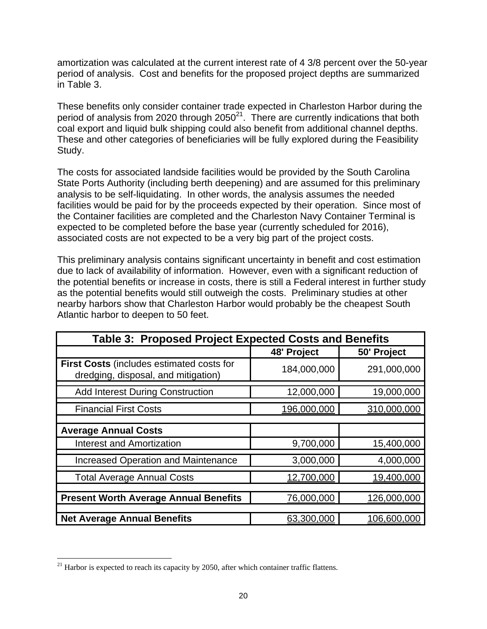amortization was calculated at the current interest rate of 4 3/8 percent over the 50-year period of analysis. Cost and benefits for the proposed project depths are summarized in Table 3.

These benefits only consider container trade expected in Charleston Harbor during the period of analysis from 2020 through  $2050^{21}$ . There are currently indications that both coal export and liquid bulk shipping could also benefit from additional channel depths. These and other categories of beneficiaries will be fully explored during the Feasibility Study.

The costs for associated landside facilities would be provided by the South Carolina State Ports Authority (including berth deepening) and are assumed for this preliminary analysis to be self-liquidating. In other words, the analysis assumes the needed facilities would be paid for by the proceeds expected by their operation. Since most of the Container facilities are completed and the Charleston Navy Container Terminal is expected to be completed before the base year (currently scheduled for 2016), associated costs are not expected to be a very big part of the project costs.

This preliminary analysis contains significant uncertainty in benefit and cost estimation due to lack of availability of information. However, even with a significant reduction of the potential benefits or increase in costs, there is still a Federal interest in further study as the potential benefits would still outweigh the costs. Preliminary studies at other nearby harbors show that Charleston Harbor would probably be the cheapest South Atlantic harbor to deepen to 50 feet.

| <b>Table 3: Proposed Project Expected Costs and Benefits</b>                            |             |             |  |  |  |  |
|-----------------------------------------------------------------------------------------|-------------|-------------|--|--|--|--|
|                                                                                         | 48' Project | 50' Project |  |  |  |  |
| <b>First Costs (includes estimated costs for</b><br>dredging, disposal, and mitigation) | 184,000,000 | 291,000,000 |  |  |  |  |
| <b>Add Interest During Construction</b>                                                 | 12,000,000  | 19,000,000  |  |  |  |  |
| <b>Financial First Costs</b>                                                            | 196,000,000 | 310,000,000 |  |  |  |  |
| <b>Average Annual Costs</b>                                                             |             |             |  |  |  |  |
| <b>Interest and Amortization</b>                                                        | 9,700,000   | 15,400,000  |  |  |  |  |
| <b>Increased Operation and Maintenance</b>                                              | 3,000,000   | 4,000,000   |  |  |  |  |
| <b>Total Average Annual Costs</b>                                                       | 12,700,000  | 19,400,000  |  |  |  |  |
|                                                                                         |             |             |  |  |  |  |
| <b>Present Worth Average Annual Benefits</b>                                            | 76,000,000  | 126,000,000 |  |  |  |  |
| <b>Net Average Annual Benefits</b>                                                      | 63,300,000  | 106,600,000 |  |  |  |  |

 $\overline{a}$ 

 $21$  Harbor is expected to reach its capacity by 2050, after which container traffic flattens.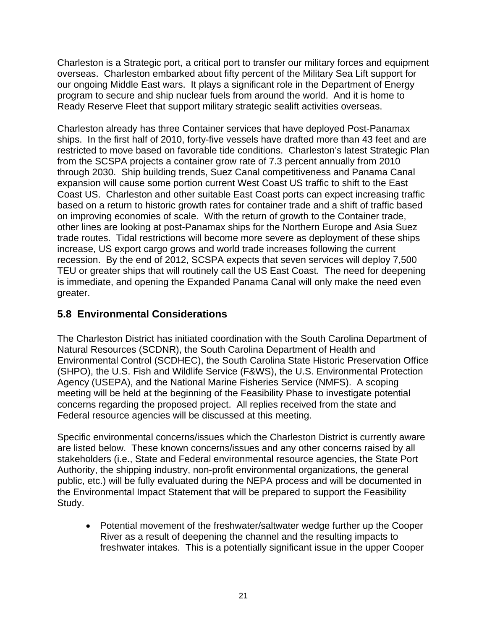<span id="page-22-0"></span>Charleston is a Strategic port, a critical port to transfer our military forces and equipment overseas. Charleston embarked about fifty percent of the Military Sea Lift support for our ongoing Middle East wars. It plays a significant role in the Department of Energy program to secure and ship nuclear fuels from around the world. And it is home to Ready Reserve Fleet that support military strategic sealift activities overseas.

Charleston already has three Container services that have deployed Post-Panamax ships. In the first half of 2010, forty-five vessels have drafted more than 43 feet and are restricted to move based on favorable tide conditions. Charleston's latest Strategic Plan from the SCSPA projects a container grow rate of 7.3 percent annually from 2010 through 2030. Ship building trends, Suez Canal competitiveness and Panama Canal expansion will cause some portion current West Coast US traffic to shift to the East Coast US. Charleston and other suitable East Coast ports can expect increasing traffic based on a return to historic growth rates for container trade and a shift of traffic based on improving economies of scale. With the return of growth to the Container trade, other lines are looking at post-Panamax ships for the Northern Europe and Asia Suez trade routes. Tidal restrictions will become more severe as deployment of these ships increase, US export cargo grows and world trade increases following the current recession. By the end of 2012, SCSPA expects that seven services will deploy 7,500 TEU or greater ships that will routinely call the US East Coast. The need for deepening is immediate, and opening the Expanded Panama Canal will only make the need even greater.

#### **5.8 Environmental Considerations**

The Charleston District has initiated coordination with the South Carolina Department of Natural Resources (SCDNR), the South Carolina Department of Health and Environmental Control (SCDHEC), the South Carolina State Historic Preservation Office (SHPO), the U.S. Fish and Wildlife Service (F&WS), the U.S. Environmental Protection Agency (USEPA), and the National Marine Fisheries Service (NMFS). A scoping meeting will be held at the beginning of the Feasibility Phase to investigate potential concerns regarding the proposed project. All replies received from the state and Federal resource agencies will be discussed at this meeting.

Specific environmental concerns/issues which the Charleston District is currently aware are listed below. These known concerns/issues and any other concerns raised by all stakeholders (i.e., State and Federal environmental resource agencies, the State Port Authority, the shipping industry, non-profit environmental organizations, the general public, etc.) will be fully evaluated during the NEPA process and will be documented in the Environmental Impact Statement that will be prepared to support the Feasibility Study.

 Potential movement of the freshwater/saltwater wedge further up the Cooper River as a result of deepening the channel and the resulting impacts to freshwater intakes. This is a potentially significant issue in the upper Cooper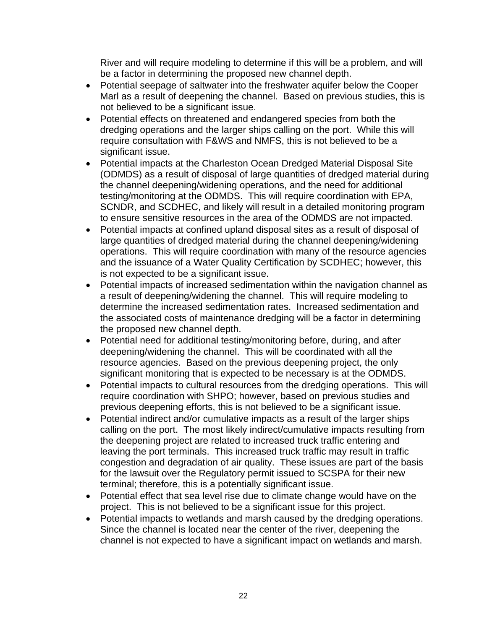River and will require modeling to determine if this will be a problem, and will be a factor in determining the proposed new channel depth.

- Potential seepage of saltwater into the freshwater aquifer below the Cooper Marl as a result of deepening the channel. Based on previous studies, this is not believed to be a significant issue.
- Potential effects on threatened and endangered species from both the dredging operations and the larger ships calling on the port. While this will require consultation with F&WS and NMFS, this is not believed to be a significant issue.
- Potential impacts at the Charleston Ocean Dredged Material Disposal Site (ODMDS) as a result of disposal of large quantities of dredged material during the channel deepening/widening operations, and the need for additional testing/monitoring at the ODMDS. This will require coordination with EPA, SCNDR, and SCDHEC, and likely will result in a detailed monitoring program to ensure sensitive resources in the area of the ODMDS are not impacted.
- Potential impacts at confined upland disposal sites as a result of disposal of large quantities of dredged material during the channel deepening/widening operations. This will require coordination with many of the resource agencies and the issuance of a Water Quality Certification by SCDHEC; however, this is not expected to be a significant issue.
- Potential impacts of increased sedimentation within the navigation channel as a result of deepening/widening the channel. This will require modeling to determine the increased sedimentation rates. Increased sedimentation and the associated costs of maintenance dredging will be a factor in determining the proposed new channel depth.
- Potential need for additional testing/monitoring before, during, and after deepening/widening the channel. This will be coordinated with all the resource agencies. Based on the previous deepening project, the only significant monitoring that is expected to be necessary is at the ODMDS.
- Potential impacts to cultural resources from the dredging operations. This will require coordination with SHPO; however, based on previous studies and previous deepening efforts, this is not believed to be a significant issue.
- Potential indirect and/or cumulative impacts as a result of the larger ships calling on the port. The most likely indirect/cumulative impacts resulting from the deepening project are related to increased truck traffic entering and leaving the port terminals. This increased truck traffic may result in traffic congestion and degradation of air quality. These issues are part of the basis for the lawsuit over the Regulatory permit issued to SCSPA for their new terminal; therefore, this is a potentially significant issue.
- Potential effect that sea level rise due to climate change would have on the project. This is not believed to be a significant issue for this project.
- Potential impacts to wetlands and marsh caused by the dredging operations. Since the channel is located near the center of the river, deepening the channel is not expected to have a significant impact on wetlands and marsh.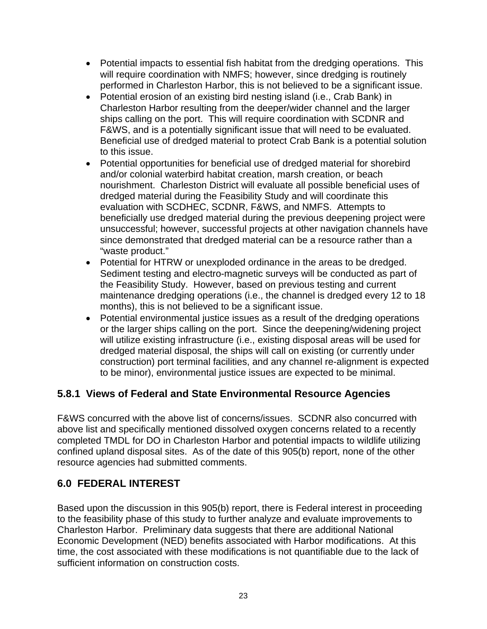- <span id="page-24-0"></span> Potential impacts to essential fish habitat from the dredging operations. This will require coordination with NMFS; however, since dredging is routinely performed in Charleston Harbor, this is not believed to be a significant issue.
- Potential erosion of an existing bird nesting island (i.e., Crab Bank) in Charleston Harbor resulting from the deeper/wider channel and the larger ships calling on the port. This will require coordination with SCDNR and F&WS, and is a potentially significant issue that will need to be evaluated. Beneficial use of dredged material to protect Crab Bank is a potential solution to this issue.
- Potential opportunities for beneficial use of dredged material for shorebird and/or colonial waterbird habitat creation, marsh creation, or beach nourishment. Charleston District will evaluate all possible beneficial uses of dredged material during the Feasibility Study and will coordinate this evaluation with SCDHEC, SCDNR, F&WS, and NMFS. Attempts to beneficially use dredged material during the previous deepening project were unsuccessful; however, successful projects at other navigation channels have since demonstrated that dredged material can be a resource rather than a "waste product."
- Potential for HTRW or unexploded ordinance in the areas to be dredged. Sediment testing and electro-magnetic surveys will be conducted as part of the Feasibility Study. However, based on previous testing and current maintenance dredging operations (i.e., the channel is dredged every 12 to 18 months), this is not believed to be a significant issue.
- Potential environmental justice issues as a result of the dredging operations or the larger ships calling on the port. Since the deepening/widening project will utilize existing infrastructure (i.e., existing disposal areas will be used for dredged material disposal, the ships will call on existing (or currently under construction) port terminal facilities, and any channel re-alignment is expected to be minor), environmental justice issues are expected to be minimal.

#### **5.8.1 Views of Federal and State Environmental Resource Agencies**

F&WS concurred with the above list of concerns/issues. SCDNR also concurred with above list and specifically mentioned dissolved oxygen concerns related to a recently completed TMDL for DO in Charleston Harbor and potential impacts to wildlife utilizing confined upland disposal sites. As of the date of this 905(b) report, none of the other resource agencies had submitted comments.

#### **6.0 FEDERAL INTEREST**

Based upon the discussion in this 905(b) report, there is Federal interest in proceeding to the feasibility phase of this study to further analyze and evaluate improvements to Charleston Harbor. Preliminary data suggests that there are additional National Economic Development (NED) benefits associated with Harbor modifications. At this time, the cost associated with these modifications is not quantifiable due to the lack of sufficient information on construction costs.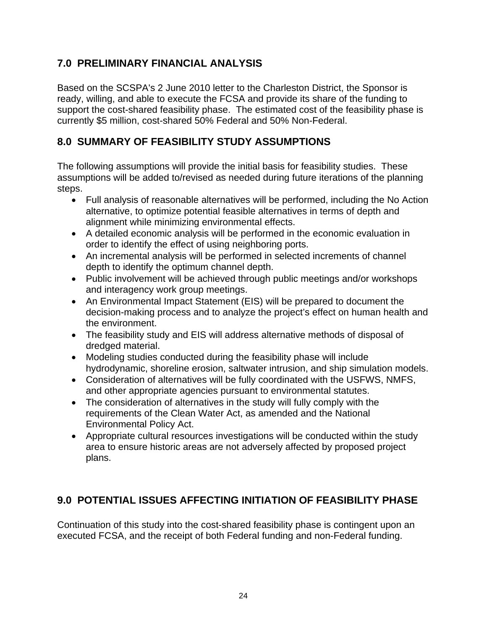#### <span id="page-25-0"></span>**7.0 PRELIMINARY FINANCIAL ANALYSIS**

Based on the SCSPA's 2 June 2010 letter to the Charleston District, the Sponsor is ready, willing, and able to execute the FCSA and provide its share of the funding to support the cost-shared feasibility phase. The estimated cost of the feasibility phase is currently \$5 million, cost-shared 50% Federal and 50% Non-Federal.

#### **8.0 SUMMARY OF FEASIBILITY STUDY ASSUMPTIONS**

The following assumptions will provide the initial basis for feasibility studies. These assumptions will be added to/revised as needed during future iterations of the planning steps.

- Full analysis of reasonable alternatives will be performed, including the No Action alternative, to optimize potential feasible alternatives in terms of depth and alignment while minimizing environmental effects.
- A detailed economic analysis will be performed in the economic evaluation in order to identify the effect of using neighboring ports.
- An incremental analysis will be performed in selected increments of channel depth to identify the optimum channel depth.
- Public involvement will be achieved through public meetings and/or workshops and interagency work group meetings.
- An Environmental Impact Statement (EIS) will be prepared to document the decision-making process and to analyze the project's effect on human health and the environment.
- The feasibility study and EIS will address alternative methods of disposal of dredged material.
- Modeling studies conducted during the feasibility phase will include hydrodynamic, shoreline erosion, saltwater intrusion, and ship simulation models.
- Consideration of alternatives will be fully coordinated with the USFWS, NMFS, and other appropriate agencies pursuant to environmental statutes.
- The consideration of alternatives in the study will fully comply with the requirements of the Clean Water Act, as amended and the National<br>Environmental Policy Act.
- Appropriate cultural resources investigations will be conducted within the study area to ensure historic areas are not adversely affected by proposed project plans.

#### **9.0 POTENTIAL ISSUES AFFECTING INITIATION OF FEASIBILITY PHASE**

Continuation of this study into the cost-shared feasibility phase is contingent upon an executed FCSA, and the receipt of both Federal funding and non-Federal funding.